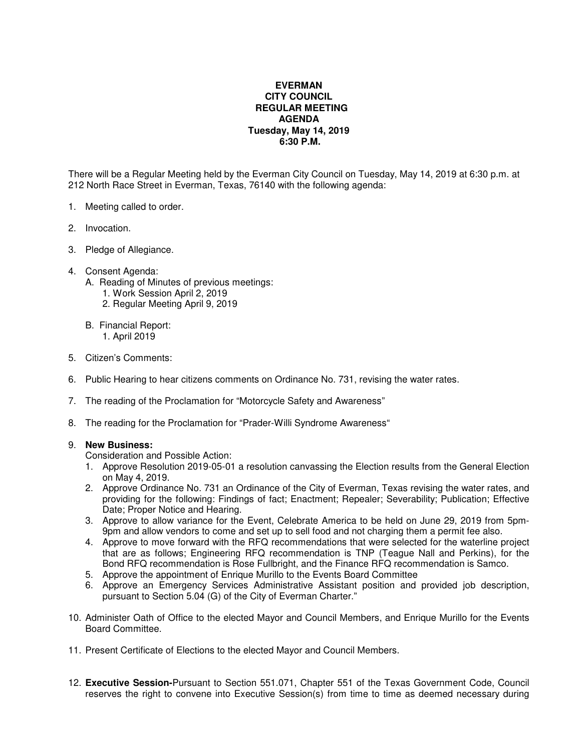## **EVERMAN CITY COUNCIL REGULAR MEETING AGENDA Tuesday, May 14, 2019 6:30 P.M.**

There will be a Regular Meeting held by the Everman City Council on Tuesday, May 14, 2019 at 6:30 p.m. at 212 North Race Street in Everman, Texas, 76140 with the following agenda:

- 1. Meeting called to order.
- 2. Invocation.
- 3. Pledge of Allegiance.
- 4. Consent Agenda:
	- A. Reading of Minutes of previous meetings:
		- 1. Work Session April 2, 2019
		- 2. Regular Meeting April 9, 2019
	- B. Financial Report: 1. April 2019
- 5. Citizen's Comments:
- 6. Public Hearing to hear citizens comments on Ordinance No. 731, revising the water rates.
- 7. The reading of the Proclamation for "Motorcycle Safety and Awareness"
- 8. The reading for the Proclamation for "Prader-Willi Syndrome Awareness"

## 9. **New Business:**

Consideration and Possible Action:

- 1. Approve Resolution 2019-05-01 a resolution canvassing the Election results from the General Election on May 4, 2019.
- 2. Approve Ordinance No. 731 an Ordinance of the City of Everman, Texas revising the water rates, and providing for the following: Findings of fact; Enactment; Repealer; Severability; Publication; Effective Date; Proper Notice and Hearing.
- 3. Approve to allow variance for the Event, Celebrate America to be held on June 29, 2019 from 5pm-9pm and allow vendors to come and set up to sell food and not charging them a permit fee also.
- 4. Approve to move forward with the RFQ recommendations that were selected for the waterline project that are as follows; Engineering RFQ recommendation is TNP (Teague Nall and Perkins), for the Bond RFQ recommendation is Rose Fullbright, and the Finance RFQ recommendation is Samco.
- 5. Approve the appointment of Enrique Murillo to the Events Board Committee
- 6. Approve an Emergency Services Administrative Assistant position and provided job description, pursuant to Section 5.04 (G) of the City of Everman Charter."
- 10. Administer Oath of Office to the elected Mayor and Council Members, and Enrique Murillo for the Events Board Committee.
- 11. Present Certificate of Elections to the elected Mayor and Council Members.
- 12. **Executive Session-**Pursuant to Section 551.071, Chapter 551 of the Texas Government Code, Council reserves the right to convene into Executive Session(s) from time to time as deemed necessary during